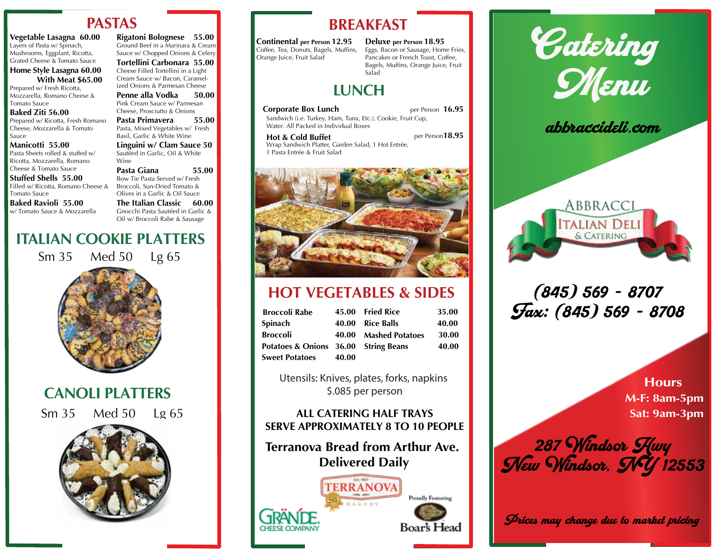## **PASTAS**

**Vegetable Lasagna 60.00** Layers of Pasta w/ Spinach, Mushrooms, Eggplant, Ricotta, Grated Cheese & Tomato Sauce

### **Home Style Lasagna 60.00 With Meat \$65.00**

Prepared w/ Fresh Ricotta, Mozzarella, Romano Cheese & Tomato Sauce

#### **Baked Ziti 56.00** Prepared w/ Ricotta, Fresh Romano Cheese, Mozzarella & Tomato Sauce

**Manicotti 55.00** Pasta Sheets rolled & stuffed w/ Ricotta, Mozzarella, Romano Cheese & Tomato Sauce

**Stuffed Shells 55.00** Filled w/ Ricotta, Romano Cheese & Tomato Sauce

**Baked Ravioli 55.00** w/ Tomato Sauce & Mozzarella

Wine

Bow Tie Pasta Served w/ Fresh Broccoli, Sun-Dried Tomato & Olives in a Garlic & Oil Sauce **The Italian Classic 60.00** Gnocchi Pasta Sautéed in Garlic & Oil w/ Broccoli Rabe & Sausage

Cream Sauce w/ Bacon, Caramelized Onions & Parmesan Cheese **Penne alla Vodka 50.00**<br>Pink Cream Sauce w/ Parmesan Cheese, Prosciutto & Onions **Pasta Primavera** 55.00<br>Pasta, Mixed Vegetables w/ Fresh Basil, Garlic & White Wine

# **ITALIAN COOKIE PLATTERS**

Sm 35 Med 50 Lg 65



**CANOLI PLATTERS**

Sm 35 Med 50 Lg 65



**Rigatoni Bolognese 55.00** Ground Beef in a Marinara & Cream Sauce w/ Chopped Onions & Celery **Tortellini Carbonara 55.00** Cheese Filled Tortellini in a Light

**BREAKFAST**

**Continental per Person 12.95** Coffee, Tea, Donuts, Bagels, Muffins, Orange Juice, Fruit Salad

**Deluxe per Person 18.95** Eggs, Bacon or Sausage, Home Fries, Pancakes or French Toast, Coffee, Bagels, Muffins, Orange Juice, Fruit Salad

# **LUNCH**

**Corporate Box Lunch** per Person 16.95 Sandwich (i.e. Turkey, Ham, Tuna, Etc.), Cookie, Fruit Cup, Water. All Packed in Individual Boxes

**Hot & Cold Buffet per Person 18.95** Wrap Sandwich Platter, Garden Salad, 1 Hot Entrée, 1 Pasta Entrée & Fruit Salad



# **HOT VEGETABLES & SIDES**

| <b>Broccoli Rabe</b>                 | 45.00 | <b>Fried Rice</b>     | 35.00 |
|--------------------------------------|-------|-----------------------|-------|
| Spinach                              |       | 40.00 Rice Balls      | 40.00 |
| Broccoli                             |       | 40.00 Mashed Potatoes | 30.00 |
| Potatoes & Onions 36.00 String Beans |       |                       | 40.00 |
| Sweet Potatoes                       | 40.00 |                       |       |

Utensils: Knives, plates, forks, napkins \$.085 per person

### **ALL CATERING HALF TRAYS SERVE APPROXIMATELY 8 TO 10 PEOPLE**

## **Terranova Bread from Arthur Ave. Delivered Daily**



Catering Menu

abbraccideli.c



(845) 569 - 8707 Fax: (845) 569 - 8708

> **Hours M-F: 8am-5pm Sat: 9am-3pm**

 $\overline{\phantom{a}}$ **abbracción** 287 Windsor <u>H</u>wy YVew Windsor. SMY 12553

Prices may change due to market pricing

**Linguini w/ Clam Sauce 50** Sautéed in Garlic, Oil & White **Pasta Giana 55.00**